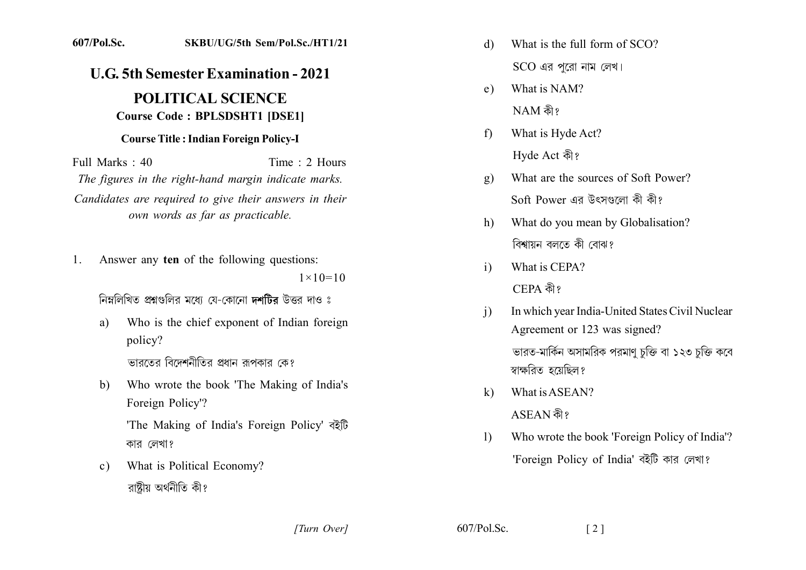## 607/Pol.Sc. SKBU/UG/5th Sem/Pol.Sc./HT1/21

## **U.G. 5th Semester Examination - 2021**

## **POLITICAL SCIENCE Course Code: BPLSDSHT1 [DSE1]**

## **Course Title: Indian Foreign Policy-I**

Full Marks  $\cdot$  40 Time  $\cdot$  2 Hours The figures in the right-hand margin indicate marks. Candidates are required to give their answers in their own words as far as practicable.

Answer any ten of the following questions: 1.  $1 \times 10 = 10$ 

নিম্নলিখিত প্ৰশ্নগুলিব মধ্যে যে-কোনো দশটিৰ উত্তৰ দাও ঃ

- Who is the chief exponent of Indian foreign  $a)$ policy? ভারতের বিদেশনীতির প্রধান রূপকার কে?
- $h)$ Who wrote the book 'The Making of India's Foreign Policy'?

'The Making of India's Foreign Policy' बरेंটि কার লেখা?

What is Political Economy?  $c)$ রাষ্ট্রীয় অর্থনীতি কী?

- What is the full form of SCO?  $\mathcal{A}$ 
	- $SCO$  এর পরো নাম লেখ।
- What is NAM?  $e)$  $NAM$  কী?
- What is Hyde Act?  $f$ Hyde Act কী?
- What are the sources of Soft Power?  $g)$ Soft Power এর উৎসণ্ডলো কী কী?
- What do you mean by Globalisation?  $h$ ) বিশ্বায়ন বলতে কী বোঝ?
- What is CEPA?  $\mathbf{i}$ CEPA কী?
- In which year India-United States Civil Nuclear  $\mathbf{i}$ Agreement or 123 was signed? ভারত-মার্কিন অসামরিক পরমাণ চক্তি বা ১২৩ চক্তি কবে স্বাক্ষরিত হয়েছিল?
- What is ASEAN?  $\bf k$ ASEAN কী?
- Who wrote the book 'Foreign Policy of India'?  $\mathbf{D}$ 'Foreign Policy of India' বইটি কার লেখা?

[Turn Over]

 $607/Pol$ . Sc.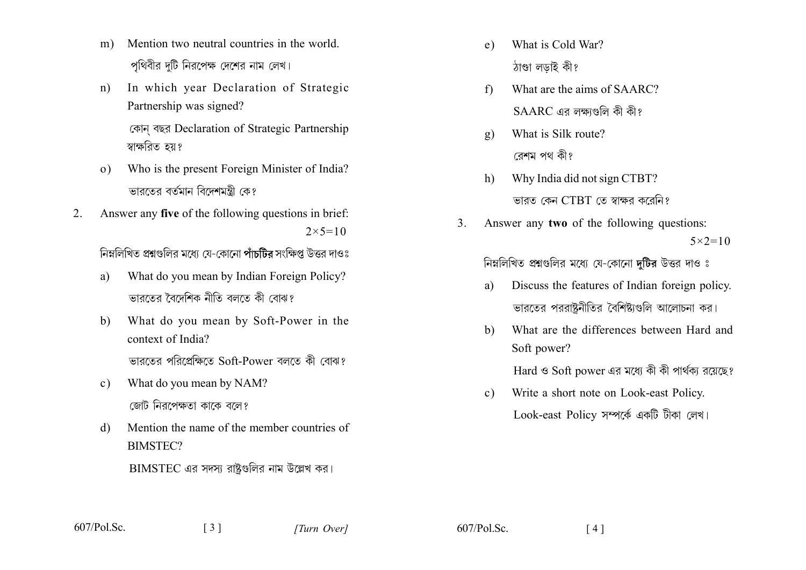- Mention two neutral countries in the world.  $m$ ) পথিবীর দটি নিরপেক্ষ দেশের নাম লেখ।
- In which year Declaration of Strategic  $n)$ Partnership was signed?

কোন বছর Declaration of Strategic Partnership স্বাক্ষরিত হয়?

- Who is the present Foreign Minister of India?  $\Omega$ ভাবতের বর্তমান বিদেশমন্ত্রী কেং
- Answer any five of the following questions in brief:  $2_{-}$  $2 \times 5 = 10$

নিম্নলিখিত প্রশ্নগুলির মধ্যে যে-কোনো পাঁচটির সংক্ষিপ্ত উত্তর দাওঃ

- What do you mean by Indian Foreign Policy?  $a)$ ভারতের বৈদেশিক নীতি বলতে কী বোঝ?
- What do you mean by Soft-Power in the  $b)$ context of India? ভারতের পরিপ্রেক্ষিতে Soft-Power বলতে কী বোঝ?
- What do you mean by NAM?  $c)$ জোট নিরপেক্ষতা কাকে বলে?
- Mention the name of the member countries of  $\mathbf{d}$ **BIMSTEC?**  $\overline{\mathrm{BIMSTEC}}$  এর সদস্য রাষ্টগুলির নাম উল্লেখ কর।

 $\begin{bmatrix} 3 \end{bmatrix}$ 

- What is Cold War?  $e)$ ঠাণ্ডা লডাই কী?
- What are the aims of SAARC?  $f$ )  $SAARC$  এর লক্ষাণ্ডলি কী কী?
- What is Silk route?  $g)$ রেশম পথ কী?
- Why India did not sign CTBT?  $h$ ভারত কেন CTBT তে স্বাক্ষর করেনি?
- $\mathcal{E}$ Answer any two of the following questions:  $5 \times 2 = 10$

নিম্নলিখিত প্রশ্নগুলির মধ্যে যে-কোনো দটির উত্তর দাও ঃ

- Discuss the features of Indian foreign policy. a) ভারতের পররাষ্ট্রনীতির বৈশিষ্ট্যগুলি আলোচনা কর।
- What are the differences between Hard and  $h)$ Soft power?

Hard ও Soft power এর মধ্যে কী কী পার্থকা রয়েছে?

Write a short note on Look-east Policy.  $c)$ Look-east Policy সম্পৰ্কে একটি টীকা লেখ।